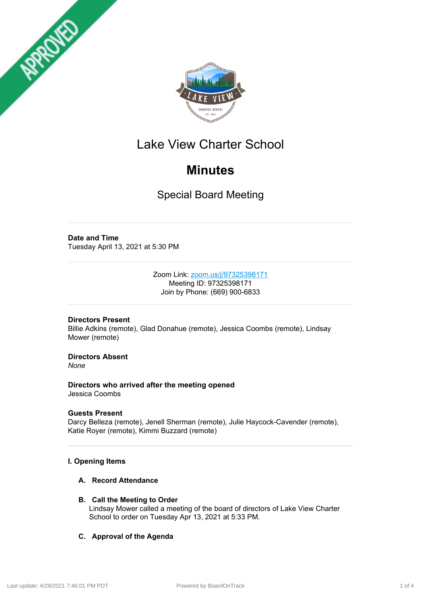



# Lake View Charter School

# **Minutes**

Special Board Meeting

# **Date and Time**

Tuesday April 13, 2021 at 5:30 PM

Zoom Link: [zoom.us/j/97325398171](https://zoom.us/j/97325398171) Meeting ID: 97325398171 Join by Phone: (669) 900-6833

# **Directors Present**

Billie Adkins (remote), Glad Donahue (remote), Jessica Coombs (remote), Lindsay Mower (remote)

# **Directors Absent**

*None*

**Directors who arrived after the meeting opened** Jessica Coombs

## **Guests Present**

Darcy Belleza (remote), Jenell Sherman (remote), Julie Haycock-Cavender (remote), Katie Royer (remote), Kimmi Buzzard (remote)

# **I. Opening Items**

# **A. Record Attendance**

## **B. Call the Meeting to Order**

Lindsay Mower called a meeting of the board of directors of Lake View Charter School to order on Tuesday Apr 13, 2021 at 5:33 PM.

# **C. Approval of the Agenda**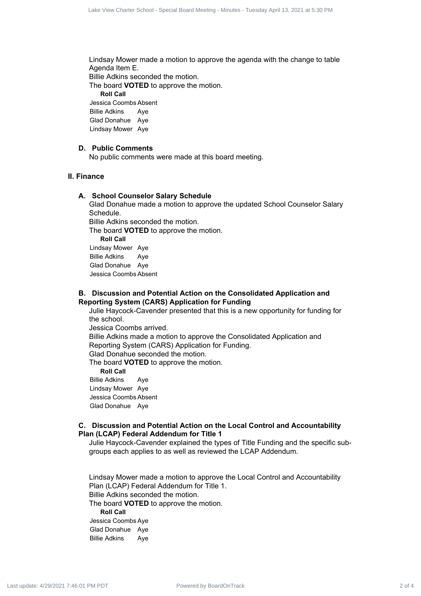Lindsay Mower made a motion to approve the agenda with the change to table Agenda Item E. Billie Adkins seconded the motion. The board **VOTED** to approve the motion. **Roll Call** Jessica Coombs Absent Billie Adkins Aye Glad Donahue Aye Lindsay Mower Aye Eact the Charter School First Board Frame Process 2 of 4 Lack 2 of 4 Lack 2 of 4 Lack 2 of 4 Lack 2 of 4 Lack 2 of 4 Lack 2 of 4 Lack 2 Lack 2 Lack 2 Lack 2 Lack 2 Lack 2 Lack 2 Lack 2 Lack 2 Lack 2 Lack 2 Lack 2 Lack 2 L

#### **D. Public Comments**

No public comments were made at this board meeting.

## **II. Finance**

#### **A. School Counselor Salary Schedule**

Glad Donahue made a motion to approve the updated School Counselor Salary Schedule.

Billie Adkins seconded the motion.

The board **VOTED** to approve the motion.

**Roll Call**

Lindsay Mower Aye Billie Adkins Aye Glad Donahue Aye Jessica Coombs Absent

### **B. Discussion and Potential Action on the Consolidated Application and Reporting System (CARS) Application for Funding**

Julie Haycock-Cavender presented that this is a new opportunity for funding for the school.

Jessica Coombs arrived. Billie Adkins made a motion to approve the Consolidated Application and

Reporting System (CARS) Application for Funding.

Glad Donahue seconded the motion.

The board **VOTED** to approve the motion.

**Roll Call**

Billie Adkins Aye Lindsay Mower Aye Jessica Coombs Absent

Glad Donahue Aye

#### **C. Discussion and Potential Action on the Local Control and Accountability Plan (LCAP) Federal Addendum for Title 1**

Julie Haycock-Cavender explained the types of Title Funding and the specific subgroups each applies to as well as reviewed the LCAP Addendum.

Lindsay Mower made a motion to approve the Local Control and Accountability Plan (LCAP) Federal Addendum for Title 1. Billie Adkins seconded the motion. The board **VOTED** to approve the motion. **Roll Call** Jessica Coombs Aye Glad Donahue Aye Billie Adkins Aye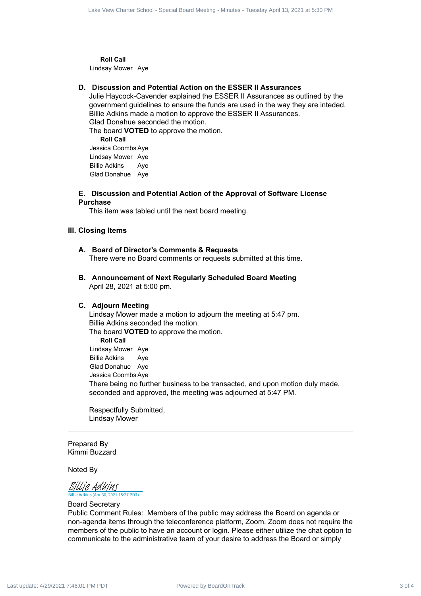**Roll Call** Lindsay Mower Aye

#### **D. Discussion and Potential Action on the ESSER II Assurances**

Julie Haycock-Cavender explained the ESSER II Assurances as outlined by the government guidelines to ensure the funds are used in the way they are inteded. Billie Adkins made a motion to approve the ESSER II Assurances. Glad Donahue seconded the motion.

The board **VOTED** to approve the motion.

**Roll Call** Jessica Coombs Aye Lindsay Mower Aye Billie Adkins Aye Glad Donahue Aye

#### **E. Discussion and Potential Action of the Approval of Software License Purchase**

This item was tabled until the next board meeting.

#### **III. Closing Items**

#### **A. Board of Director's Comments & Requests**

There were no Board comments or requests submitted at this time.

**B. Announcement of Next Regularly Scheduled Board Meeting** April 28, 2021 at 5:00 pm.

#### **C. Adjourn Meeting**

Lindsay Mower made a motion to adjourn the meeting at 5:47 pm. Billie Adkins seconded the motion.

The board **VOTED** to approve the motion.

**Roll Call** Lindsay Mower Aye Billie Adkins Aye Glad Donahue Aye Jessica Coombs Aye There being no further business to be transacted, and upon motion duly made, seconded and approved, the meeting was adjourned at 5:47 PM. East School Board School Board School Board Track 3 of 4 Lake View Charter School - Distribution 4 April 2021 at  $\sim$  10 Minutes - April 2021 at  $\sim$  10 Minutes - Tuesday April 2021 at  $\sim$  10 Minutes - Tuesday April 2021

Respectfully Submitted, Lindsay Mower

Prepared By Kimmi Buzzard

Noted By

 $\overline{15:27 PDT}$ [Billie Adkins](https://na1.documents.adobe.com/verifier?tx=CBJCHBCAABAAbONCs7AY10z5I0kdPFouSRoG6WozyJvY)

Board Secretary

Public Comment Rules: Members of the public may address the Board on agenda or non-agenda items through the teleconference platform, Zoom. Zoom does not require the members of the public to have an account or login. Please either utilize the chat option to communicate to the administrative team of your desire to address the Board or simply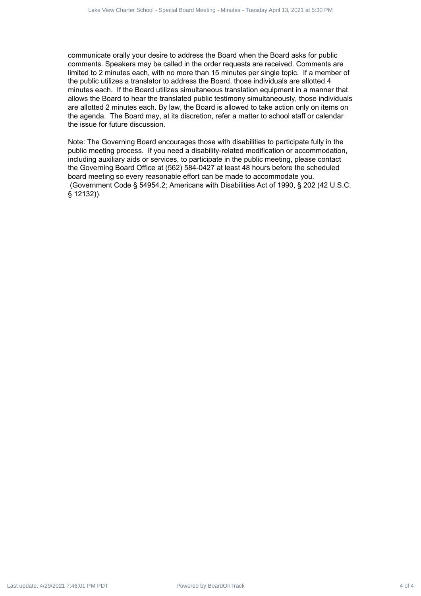communicate orally your desire to address the Board when the Board asks for public comments. Speakers may be called in the order requests are received. Comments are limited to 2 minutes each, with no more than 15 minutes per single topic. If a member of the public utilizes a translator to address the Board, those individuals are allotted 4 minutes each. If the Board utilizes simultaneous translation equipment in a manner that allows the Board to hear the translated public testimony simultaneously, those individuals are allotted 2 minutes each. By law, the Board is allowed to take action only on items on the agenda. The Board may, at its discretion, refer a matter to school staff or calendar the issue for future discussion. For the collection of  $\theta$  and the collection of 4 Power Charter School of 4 Day) and the collection of 4 Lake View Charter School - Special Board Meeting - Tuesday April 13, 2021 at 5:30 PM Lace View Contents are since t

Note: The Governing Board encourages those with disabilities to participate fully in the public meeting process. If you need a disability-related modification or accommodation, including auxiliary aids or services, to participate in the public meeting, please contact the Governing Board Office at (562) 584-0427 at least 48 hours before the scheduled board meeting so every reasonable effort can be made to accommodate you. (Government Code § 54954.2; Americans with Disabilities Act of 1990, § 202 (42 U.S.C. § 12132)).